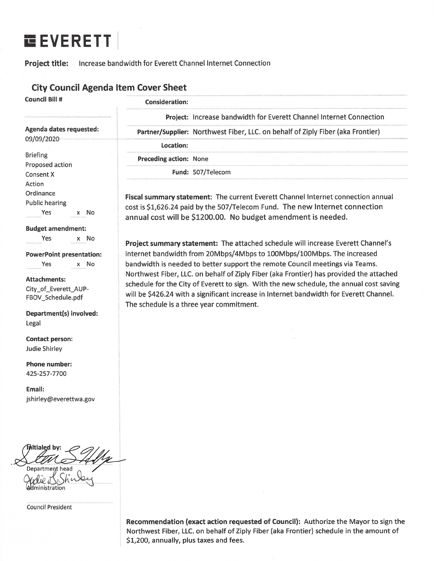# **EEVERETT**

### Project title: Increase bandwidth for Everett Channel Internet Connection

### **City Council Agenda Item Cover Sheet**

**Council Bill #** 

### **Consideration:**

|                                                                                           | Project: Increase bandwidth for Everett Channel Internet Connection                                                                                                                                                                                                                                                       |  |  |  |
|-------------------------------------------------------------------------------------------|---------------------------------------------------------------------------------------------------------------------------------------------------------------------------------------------------------------------------------------------------------------------------------------------------------------------------|--|--|--|
| Agenda dates requested:                                                                   | Partner/Supplier: Northwest Fiber, LLC. on behalf of Ziply Fiber (aka Frontier)                                                                                                                                                                                                                                           |  |  |  |
| 09/09/2020                                                                                | Location:                                                                                                                                                                                                                                                                                                                 |  |  |  |
| <b>Briefing</b>                                                                           | <b>Preceding action: None</b>                                                                                                                                                                                                                                                                                             |  |  |  |
| Proposed action<br>Consent X                                                              | Fund: 507/Telecom                                                                                                                                                                                                                                                                                                         |  |  |  |
| Action<br>Ordinance<br><b>Public hearing</b><br>Yes<br>x No                               | Fiscal summary statement: The current Everett Channel Internet connection annual<br>cost is \$1,626.24 paid by the 507/Telecom Fund. The new Internet connection<br>annual cost will be \$1200.00. No budget amendment is needed.                                                                                         |  |  |  |
| <b>Budget amendment:</b><br>Yes<br>x No<br><b>PowerPoint presentation:</b><br>x No<br>Yes | Project summary statement: The attached schedule will increase Everett Channel's<br>internet bandwidth from 20Mbps/4Mbps to 100Mbps/100Mbps. The increased<br>bandwidth is needed to better support the remote Council meetings via Teams.                                                                                |  |  |  |
| <b>Attachments:</b><br>City_of_Everett_AUP-<br>FBOV Schedule.pdf                          | Northwest Fiber, LLC. on behalf of Ziply Fiber (aka Frontier) has provided the attached<br>schedule for the City of Everett to sign. With the new schedule, the annual cost saving<br>will be \$426.24 with a significant increase in Internet bandwidth for Everett Channel.<br>The schedule is a three year commitment. |  |  |  |
| Department(s) involved:                                                                   |                                                                                                                                                                                                                                                                                                                           |  |  |  |
| Legal                                                                                     |                                                                                                                                                                                                                                                                                                                           |  |  |  |
| <b>Contact person:</b><br>Judie Shirley                                                   |                                                                                                                                                                                                                                                                                                                           |  |  |  |
| <b>Phone number:</b>                                                                      |                                                                                                                                                                                                                                                                                                                           |  |  |  |

425-257-7700

Email: jshirley@everettwa.gov

itialed head

**Council President** 

Recommendation (exact action requested of Council): Authorize the Mayor to sign the Northwest Fiber, LLC. on behalf of Ziply Fiber (aka Frontier) schedule in the amount of \$1,200, annually, plus taxes and fees.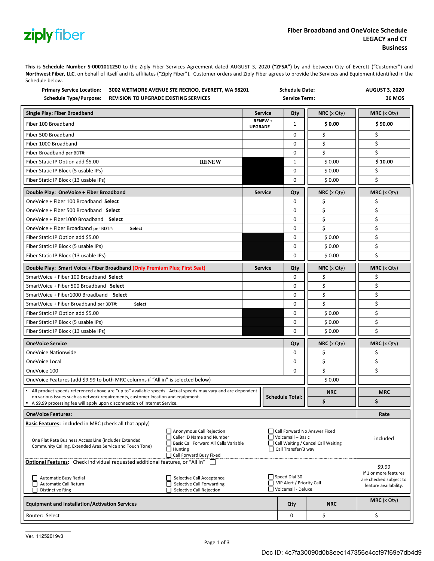# ziplyfiber

**This is Schedule Number S0001011250** to the Ziply Fiber Services Agreement dated AUGUST 3, 2020 **("ZFSA")** by and between City of Everett ("Customer") and **Northwest Fiber, LLC.** on behalf of itself and its affiliates ("Ziply Fiber"). Customer orders and Ziply Fiber agrees to provide the Services and Equipment identified in the Schedule below.

| <b>Primary Service Location:</b><br>3002 WETMORE AVENUE STE RECROO, EVERETT, WA 98201<br><b>Schedule Type/Purpose:</b><br><b>REVISION TO UPGRADE EXISTING SERVICES</b>                                                                                                           |                | <b>Schedule Date:</b><br><b>Service Term:</b>                                                                  |                                                                         |                  | <b>AUGUST 3, 2020</b><br><b>36 MOS</b>                                             |
|----------------------------------------------------------------------------------------------------------------------------------------------------------------------------------------------------------------------------------------------------------------------------------|----------------|----------------------------------------------------------------------------------------------------------------|-------------------------------------------------------------------------|------------------|------------------------------------------------------------------------------------|
| Single Play: Fiber Broadband                                                                                                                                                                                                                                                     | <b>Service</b> |                                                                                                                | Qty                                                                     | NRC (x Qty)      | <b>MRC</b> (x Qty)                                                                 |
| Fiber 100 Broadband                                                                                                                                                                                                                                                              |                |                                                                                                                | 1                                                                       | \$0.00           | \$90.00                                                                            |
| Fiber 500 Broadband                                                                                                                                                                                                                                                              |                |                                                                                                                | 0                                                                       | \$               | \$                                                                                 |
| Fiber 1000 Broadband                                                                                                                                                                                                                                                             |                |                                                                                                                | 0                                                                       | \$               | \$                                                                                 |
| Fiber Broadband per BDT#:                                                                                                                                                                                                                                                        |                |                                                                                                                | 0                                                                       | \$               | \$                                                                                 |
| Fiber Static IP Option add \$5.00<br><b>RENEW</b>                                                                                                                                                                                                                                |                |                                                                                                                | $\mathbf{1}$                                                            | \$0.00           | \$10.00                                                                            |
| Fiber Static IP Block (5 usable IPs)                                                                                                                                                                                                                                             |                |                                                                                                                | 0                                                                       | \$0.00           | \$                                                                                 |
| Fiber Static IP Block (13 usable IPs)                                                                                                                                                                                                                                            |                |                                                                                                                | 0                                                                       | \$0.00           | Ś                                                                                  |
| Double Play: OneVoice + Fiber Broadband                                                                                                                                                                                                                                          | <b>Service</b> |                                                                                                                | Qty                                                                     | $NRC$ (x Qty)    | <b>MRC</b> $(x Qty)$                                                               |
| OneVoice + Fiber 100 Broadband Select                                                                                                                                                                                                                                            |                |                                                                                                                | 0                                                                       | \$               | \$                                                                                 |
| OneVoice + Fiber 500 Broadband Select                                                                                                                                                                                                                                            |                |                                                                                                                | 0                                                                       | \$               | \$                                                                                 |
| OneVoice + Fiber1000 Broadband Select                                                                                                                                                                                                                                            |                |                                                                                                                | 0                                                                       | \$               | \$                                                                                 |
| OneVoice + Fiber Broadband per BDT#:<br>Select                                                                                                                                                                                                                                   |                |                                                                                                                | 0                                                                       | \$               | \$                                                                                 |
| Fiber Static IP Option add \$5.00                                                                                                                                                                                                                                                |                |                                                                                                                | 0                                                                       | \$0.00           | \$                                                                                 |
| Fiber Static IP Block (5 usable IPs)                                                                                                                                                                                                                                             |                |                                                                                                                | 0                                                                       | \$0.00           | \$                                                                                 |
| Fiber Static IP Block (13 usable IPs)                                                                                                                                                                                                                                            |                |                                                                                                                | 0                                                                       | \$0.00           | Ś                                                                                  |
| Double Play: Smart Voice + Fiber Broadband (Only Premium Plus; First Seat)                                                                                                                                                                                                       | <b>Service</b> |                                                                                                                | Qty                                                                     | $NRC$ ( $x$ Qty) | <b>MRC</b> (x Qty)                                                                 |
| SmartVoice + Fiber 100 Broadband Select                                                                                                                                                                                                                                          |                |                                                                                                                | 0                                                                       | \$               | \$                                                                                 |
| SmartVoice + Fiber 500 Broadband Select                                                                                                                                                                                                                                          |                |                                                                                                                | 0                                                                       | \$               | \$                                                                                 |
| SmartVoice + Fiber1000 Broadband Select                                                                                                                                                                                                                                          |                |                                                                                                                | 0                                                                       | \$               | \$                                                                                 |
| SmartVoice + Fiber Broadband per BDT#:<br>Select                                                                                                                                                                                                                                 |                |                                                                                                                | 0                                                                       | \$               | \$                                                                                 |
| Fiber Static IP Option add \$5.00                                                                                                                                                                                                                                                |                |                                                                                                                | 0                                                                       | \$0.00           | \$                                                                                 |
| Fiber Static IP Block (5 usable IPs)                                                                                                                                                                                                                                             |                |                                                                                                                | 0                                                                       | \$0.00           | \$                                                                                 |
| Fiber Static IP Block (13 usable IPs)                                                                                                                                                                                                                                            |                |                                                                                                                | 0                                                                       | \$0.00           | \$                                                                                 |
| <b>OneVoice Service</b>                                                                                                                                                                                                                                                          |                |                                                                                                                | Qty                                                                     | $NRC$ (x Qty)    | $MRC$ (x Qty)                                                                      |
| OneVoice Nationwide                                                                                                                                                                                                                                                              |                |                                                                                                                | 0                                                                       | \$               | \$                                                                                 |
| OneVoice Local                                                                                                                                                                                                                                                                   |                |                                                                                                                | 0                                                                       | \$               | \$                                                                                 |
| OneVoice 100                                                                                                                                                                                                                                                                     |                |                                                                                                                | 0                                                                       | \$               | \$                                                                                 |
| OneVoice Features (add \$9.99 to both MRC columns if "All in" is selected below)                                                                                                                                                                                                 |                |                                                                                                                |                                                                         | \$0.00           |                                                                                    |
| All product speeds referenced above are "up to" available speeds. Actual speeds may vary and are dependent<br>on various issues such as network requirements, customer location and equipment.<br>A \$9.99 processing fee will apply upon disconnection of Internet Service.     |                |                                                                                                                |                                                                         | <b>NRC</b>       | <b>MRC</b>                                                                         |
|                                                                                                                                                                                                                                                                                  |                |                                                                                                                | <b>Schedule Total:</b>                                                  | \$               | \$                                                                                 |
| <b>OneVoice Features:</b>                                                                                                                                                                                                                                                        |                |                                                                                                                |                                                                         |                  | Rate                                                                               |
| Basic Features: included in MRC (check all that apply)                                                                                                                                                                                                                           |                |                                                                                                                |                                                                         |                  |                                                                                    |
| Anonymous Call Rejection<br>□ Caller ID Name and Number<br>One Flat Rate Business Access Line (includes Extended<br>Basic Call Forward All Calls Variable<br>Community Calling, Extended Area Service and Touch Tone)<br>$\Box$ Hunting<br>Call Forward Busy Fixed               |                | Call Forward No Answer Fixed<br>Voicemail - Basic<br>Call Waiting / Cancel Call Waiting<br>Call Transfer/3 way |                                                                         | included         |                                                                                    |
| <b>Optional Features:</b> Check individual requested additional features, or "All In" $\Box$<br>Automatic Busy Redial<br>Selective Call Acceptance<br>Selective Call Forwarding<br>П<br><b>Automatic Call Return</b><br><b>Distinctive Ring</b><br>Selective Call Rejection<br>П |                |                                                                                                                | Speed Dial 30<br>$\Box$ VIP Alert / Priority Call<br>Voicemail - Deluxe |                  | \$9.99<br>if 1 or more features<br>are checked subject to<br>feature availability. |
| <b>Equipment and Installation/Activation Services</b>                                                                                                                                                                                                                            |                |                                                                                                                | Qty                                                                     | <b>NRC</b>       | <b>MRC</b> $(x Qty)$                                                               |
| Router: Select                                                                                                                                                                                                                                                                   |                |                                                                                                                | 0                                                                       | \$               | \$                                                                                 |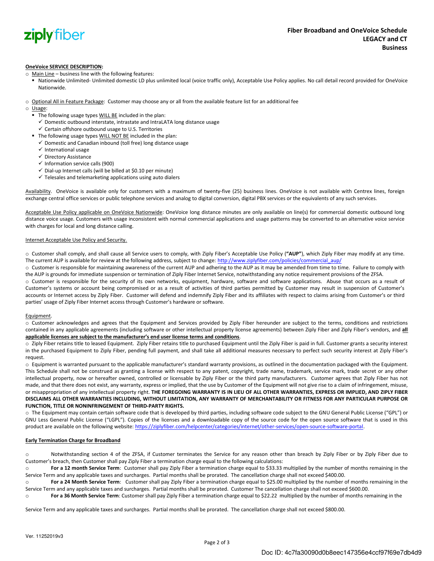

#### **OneVoice SERVICE DESCRIPTION:**

o Main Line – business line with the following features:

- Nationwide Unlimited- Unlimited domestic LD plus unlimited local (voice traffic only), Acceptable Use Policy applies. No call detail record provided for OneVoice Nationwide.
- o Optional All in Feature Package: Customer may choose any or all from the available feature list for an additional fee
- o Usage:
	- The following usage types WILL BE included in the plan:
		- $\checkmark$  Domestic outbound interstate, intrastate and IntraLATA long distance usage
		- ✓ Certain offshore outbound usage to U.S. Territories
	- The following usage types WILL NOT BE included in the plan:
		- $\checkmark$  Domestic and Canadian inbound (toll free) long distance usage
		- ✓ International usage
		- ✓ Directory Assistance
		- $\checkmark$  Information service calls (900)
		- $\checkmark$  Dial-up Internet calls (will be billed at \$0.10 per minute)
		- $\checkmark$  Telesales and telemarketing applications using auto dialers

Availability. OneVoice is available only for customers with a maximum of twenty-five (25) business lines. OneVoice is not available with Centrex lines, foreign exchange central office services or public telephone services and analog to digital conversion, digital PBX services or the equivalents of any such services.

Acceptable Use Policy applicable on OneVoice Nationwide: OneVoice long distance minutes are only available on line(s) for commercial domestic outbound long distance voice usage. Customers with usage inconsistent with normal commercial applications and usage patterns may be converted to an alternative voice service with charges for local and long distance calling.

#### Internet Acceptable Use Policy and Security.

o Customer shall comply, and shall cause all Service users to comply, with Ziply Fiber's Acceptable Use Policy (**"AUP"**), which Ziply Fiber may modify at any time. The current AUP is available for review at the following address, subject to change: http://www.ziplyfiber.com/policies/commercial\_aup/

o Customer is responsible for maintaining awareness of the current AUP and adhering to the AUP as it may be amended from time to time. Failure to comply with the AUP is grounds for immediate suspension or termination of Ziply Fiber Internet Service, notwithstanding any notice requirement provisions of the ZFSA.

o Customer is responsible for the security of its own networks, equipment, hardware, software and software applications. Abuse that occurs as a result of Customer's systems or account being compromised or as a result of activities of third parties permitted by Customer may result in suspension of Customer's accounts or Internet access by Ziply Fiber. Customer will defend and indemnify Ziply Fiber and its affiliates with respect to claims arising from Customer's or third parties' usage of Ziply Fiber Internet access through Customer's hardware or software.

#### Equipment.

o Customer acknowledges and agrees that the Equipment and Services provided by Ziply Fiber hereunder are subject to the terms, conditions and restrictions contained in any applicable agreements (including software or other intellectual property license agreements) between Ziply Fiber and Ziply Fiber's vendors, and **all applicable licenses are subject to the manufacturer's end user license terms and conditions**.

o Ziply Fiber retains title to leased Equipment. Ziply Fiber retains title to purchased Equipment until the Ziply Fiber is paid in full. Customer grants a security interest in the purchased Equipment to Ziply Fiber, pending full payment, and shall take all additional measures necessary to perfect such security interest at Ziply Fiber's request.

o Equipment is warranted pursuant to the applicable manufacturer's standard warranty provisions, as outlined in the documentation packaged with the Equipment. This Schedule shall not be construed as granting a license with respect to any patent, copyright, trade name, trademark, service mark, trade secret or any other intellectual property, now or hereafter owned, controlled or licensable by Ziply Fiber or the third party manufacturers. Customer agrees that Ziply Fiber has not made, and that there does not exist, any warranty, express or implied, that the use by Customer of the Equipment will not give rise to a claim of infringement, misuse, or misappropriation of any intellectual property right. THE FOREGOING WARRANTY IS IN LIEU OF ALL OTHER WARRANTIES, EXPRESS OR IMPLIED, AND ZIPLY FIBER DISCLAIMS ALL OTHER WARRANTIES INCLUDING, WITHOUT LIMITATION, ANY WARRANTY OF MERCHANTABILITY OR FITNESS FOR ANY PARTICULAR PURPOSE OR **FUNCTION, TITLE OR NONINFRINGEMENT OF THIRDPARTY RIGHTS.**

o The Equipment may contain certain software code that is developed by third parties, including software code subject to the GNU General Public License ("GPL") or GNU Less General Public License ("LGPL"). Copies of the licenses and a downloadable copy of the source code for the open source software that is used in this product are available on the following website: https://ziplyfiber.com/helpcenter/categories/internet/other-services/open-source-software-portal.

#### **Early Termination Charge for Broadband**

o Notwithstanding section 4 of the ZFSA, if Customer terminates the Service for any reason other than breach by Ziply Fiber or by Ziply Fiber due to Customer's breach, then Customer shall pay Ziply Fiber a termination charge equal to the following calculations:

o **For a 12 month Service Term**: Customer shall pay Ziply Fiber a termination charge equal to \$33.33 multiplied by the number of months remaining in the Service Term and any applicable taxes and surcharges. Partial months shall be prorated. The cancellation charge shall not exceed \$400.00.

o **For a 24 Month Service Term**: Customer shall pay Ziply Fiber a termination charge equal to \$25.00 multiplied by the number of months remaining in the Service Term and any applicable taxes and surcharges. Partial months shall be prorated. Customer The cancellation charge shall not exceed \$600.00.

o **For a 36 Month Service Term**: Customer shall pay Ziply Fiber a termination charge equal to \$22.22 multiplied by the number of months remaining in the

Service Term and any applicable taxes and surcharges. Partial months shall be prorated. The cancellation charge shall not exceed \$800.00.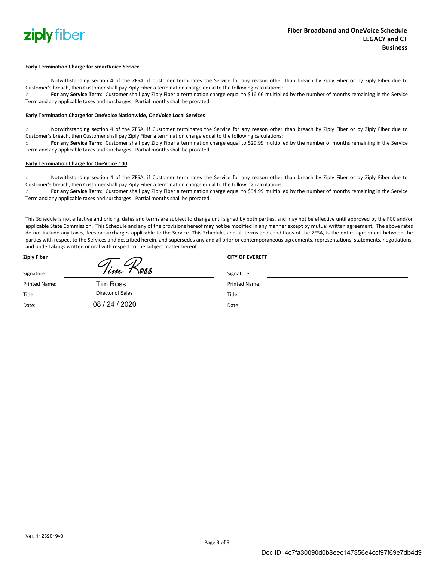

#### E**arly Termination Charge for SmartVoice Service**

o Notwithstanding section 4 of the ZFSA, if Customer terminates the Service for any reason other than breach by Ziply Fiber or by Ziply Fiber due to Customer's breach, then Customer shall pay Ziply Fiber a termination charge equal to the following calculations:

o **For any Service Term**: Customer shall pay Ziply Fiber a termination charge equal to \$16.66 multiplied by the number of months remaining in the Service Term and any applicable taxes and surcharges. Partial months shall be prorated.

#### **Early Termination Charge for OneVoice Nationwide, OneVoice Local Services**

o Notwithstanding section 4 of the ZFSA, if Customer terminates the Service for any reason other than breach by Ziply Fiber or by Ziply Fiber due to Customer's breach, then Customer shall pay Ziply Fiber a termination charge equal to the following calculations:

o **For any Service Term**: Customer shall pay Ziply Fiber a termination charge equal to \$29.99 multiplied by the number of months remaining in the Service Term and any applicable taxes and surcharges. Partial months shall be prorated.

#### **Early Termination Charge for OneVoice 100**

o Notwithstanding section 4 of the ZFSA, if Customer terminates the Service for any reason other than breach by Ziply Fiber or by Ziply Fiber due to Customer's breach, then Customer shall pay Ziply Fiber a termination charge equal to the following calculations:

o **For any Service Term**: Customer shall pay Ziply Fiber a termination charge equal to \$34.99 multiplied by the number of months remaining in the Service Term and any applicable taxes and surcharges. Partial months shall be prorated.

This Schedule is not effective and pricing, dates and terms are subject to change until signed by both parties, and may not be effective until approved by the FCC and/or applicable State Commission. This Schedule and any of the provisions hereof may not be modified in any manner except by mutual written agreement. The above rates do not include any taxes, fees or surcharges applicable to the Service. This Schedule, and all terms and conditions of the ZFSA, is the entire agreement between the parties with respect to the Services and described herein, and supersedes any and all prior or contemporaneous agreements, representations, statements, negotiations, and undertakings written or oral with respect to the subject matter hereof.

| Ziply Fiber   |                   | <b>CITY OF EVERETT</b> |  |
|---------------|-------------------|------------------------|--|
| Signature:    | Tim<br>1888       | Signature:             |  |
| Printed Name: | <b>Tim Ross</b>   | <b>Printed Name:</b>   |  |
| Title:        | Director of Sales | Title:                 |  |
| Date:         | 08 / 24 / 2020    | Date:                  |  |
|               |                   |                        |  |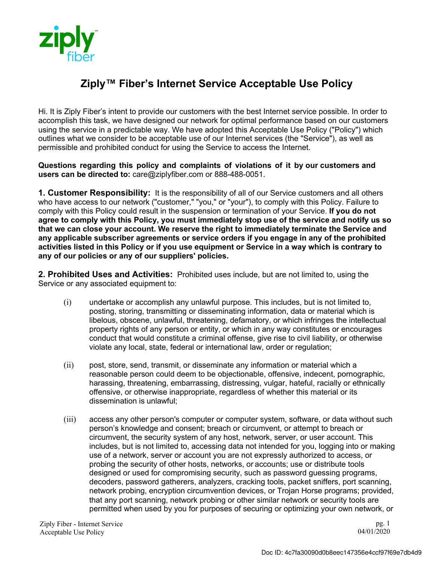

## **Ziply™ Fiber's Internet Service Acceptable Use Policy**

Hi. It is Ziply Fiber's intent to provide our customers with the best Internet service possible. In order to accomplish this task, we have designed our network for optimal performance based on our customers using the service in a predictable way. We have adopted this Acceptable Use Policy ("Policy") which outlines what we consider to be acceptable use of our Internet services (the "Service"), as well as permissible and prohibited conduct for using the Service to access the Internet.

**Questions regarding this policy and complaints of violations of it by our customers and users can be directed to:** care@ziplyfiber.com or 888-488-0051.

**1. Customer Responsibility:** It is the responsibility of all of our Service customers and all others who have access to our network ("customer," "you," or "your"), to comply with this Policy. Failure to comply with this Policy could result in the suspension or termination of your Service. **If you do not agree to comply with this Policy, you must immediately stop use of the service and notify us so that we can close your account. We reserve the right to immediately terminate the Service and any applicable subscriber agreements or service orders if you engage in any of the prohibited activities listed in this Policy or if you use equipment or Service in a way which is contrary to any of our policies or any of our suppliers' policies.**

**2. Prohibited Uses and Activities:** Prohibited uses include, but are not limited to, using the Service or any associated equipment to:

- (i) undertake or accomplish any unlawful purpose. This includes, but is not limited to, posting, storing, transmitting or disseminating information, data or material which is libelous, obscene, unlawful, threatening, defamatory, or which infringes the intellectual property rights of any person or entity, or which in any way constitutes or encourages conduct that would constitute a criminal offense, give rise to civil liability, or otherwise violate any local, state, federal or international law, order or regulation;
- (ii) post, store, send, transmit, or disseminate any information or material which a reasonable person could deem to be objectionable, offensive, indecent, pornographic, harassing, threatening, embarrassing, distressing, vulgar, hateful, racially or ethnically offensive, or otherwise inappropriate, regardless of whether this material or its dissemination is unlawful;
- (iii) access any other person's computer or computer system, software, or data without such person's knowledge and consent; breach or circumvent, or attempt to breach or circumvent, the security system of any host, network, server, or user account. This includes, but is not limited to, accessing data not intended for you, logging into or making use of a network, server or account you are not expressly authorized to access, or probing the security of other hosts, networks, or accounts; use or distribute tools designed or used for compromising security, such as password guessing programs, decoders, password gatherers, analyzers, cracking tools, packet sniffers, port scanning, network probing, encryption circumvention devices, or Trojan Horse programs; provided, that any port scanning, network probing or other similar network or security tools are permitted when used by you for purposes of securing or optimizing your own network, or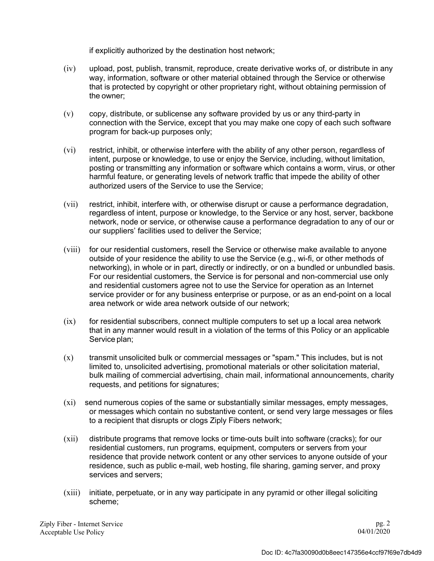if explicitly authorized by the destination host network;

- (iv) upload, post, publish, transmit, reproduce, create derivative works of, or distribute in any way, information, software or other material obtained through the Service or otherwise that is protected by copyright or other proprietary right, without obtaining permission of the owner;
- (v) copy, distribute, or sublicense any software provided by us or any third-party in connection with the Service, except that you may make one copy of each such software program for back-up purposes only;
- (vi) restrict, inhibit, or otherwise interfere with the ability of any other person, regardless of intent, purpose or knowledge, to use or enjoy the Service, including, without limitation, posting or transmitting any information or software which contains a worm, virus, or other harmful feature, or generating levels of network traffic that impede the ability of other authorized users of the Service to use the Service;
- (vii) restrict, inhibit, interfere with, or otherwise disrupt or cause a performance degradation, regardless of intent, purpose or knowledge, to the Service or any host, server, backbone network, node or service, or otherwise cause a performance degradation to any of our or our suppliers' facilities used to deliver the Service;
- (viii) for our residential customers, resell the Service or otherwise make available to anyone outside of your residence the ability to use the Service (e.g., wi-fi, or other methods of networking), in whole or in part, directly or indirectly, or on a bundled or unbundled basis. For our residential customers, the Service is for personal and non-commercial use only and residential customers agree not to use the Service for operation as an Internet service provider or for any business enterprise or purpose, or as an end-point on a local area network or wide area network outside of our network;
- $(ix)$  for residential subscribers, connect multiple computers to set up a local area network that in any manner would result in a violation of the terms of this Policy or an applicable Service plan;
- (x) transmit unsolicited bulk or commercial messages or "spam." This includes, but is not limited to, unsolicited advertising, promotional materials or other solicitation material, bulk mailing of commercial advertising, chain mail, informational announcements, charity requests, and petitions for signatures;
- (xi) send numerous copies of the same or substantially similar messages, empty messages, or messages which contain no substantive content, or send very large messages or files to a recipient that disrupts or clogs Ziply Fibers network;
- (xii) distribute programs that remove locks or time-outs built into software (cracks); for our residential customers, run programs, equipment, computers or servers from your residence that provide network content or any other services to anyone outside of your residence, such as public e-mail, web hosting, file sharing, gaming server, and proxy services and servers;
- (xiii) initiate, perpetuate, or in any way participate in any pyramid or other illegal soliciting scheme;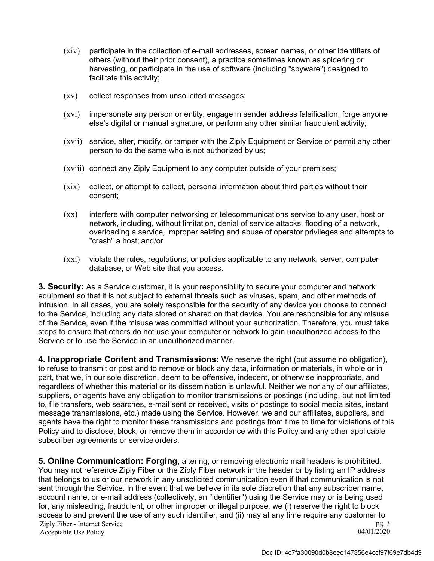- (xiv) participate in the collection of e-mail addresses, screen names, or other identifiers of others (without their prior consent), a practice sometimes known as spidering or harvesting, or participate in the use of software (including "spyware") designed to facilitate this activity;
- (xv) collect responses from unsolicited messages;
- (xvi) impersonate any person or entity, engage in sender address falsification, forge anyone else's digital or manual signature, or perform any other similar fraudulent activity;
- (xvii) service, alter, modify, or tamper with the Ziply Equipment or Service or permit any other person to do the same who is not authorized by us;
- (xviii) connect any Ziply Equipment to any computer outside of your premises;
- (xix) collect, or attempt to collect, personal information about third parties without their consent;
- (xx) interfere with computer networking or telecommunications service to any user, host or network, including, without limitation, denial of service attacks, flooding of a network, overloading a service, improper seizing and abuse of operator privileges and attempts to "crash" a host; and/or
- (xxi) violate the rules, regulations, or policies applicable to any network, server, computer database, or Web site that you access.

**3. Security:** As a Service customer, it is your responsibility to secure your computer and network equipment so that it is not subject to external threats such as viruses, spam, and other methods of intrusion. In all cases, you are solely responsible for the security of any device you choose to connect to the Service, including any data stored or shared on that device. You are responsible for any misuse of the Service, even if the misuse was committed without your authorization. Therefore, you must take steps to ensure that others do not use your computer or network to gain unauthorized access to the Service or to use the Service in an unauthorized manner.

**4. Inappropriate Content and Transmissions:** We reserve the right (but assume no obligation), to refuse to transmit or post and to remove or block any data, information or materials, in whole or in part, that we, in our sole discretion, deem to be offensive, indecent, or otherwise inappropriate, and regardless of whether this material or its dissemination is unlawful. Neither we nor any of our affiliates, suppliers, or agents have any obligation to monitor transmissions or postings (including, but not limited to, file transfers, web searches, e-mail sent or received, visits or postings to social media sites, instant message transmissions, etc.) made using the Service. However, we and our affiliates, suppliers, and agents have the right to monitor these transmissions and postings from time to time for violations of this Policy and to disclose, block, or remove them in accordance with this Policy and any other applicable subscriber agreements or service orders.

Ziply Fiber - Internet Service Acceptable Use Policy pg. 3 04/01/2020 **5. Online Communication: Forging**, altering, or removing electronic mail headers is prohibited. You may not reference Ziply Fiber or the Ziply Fiber network in the header or by listing an IP address that belongs to us or our network in any unsolicited communication even if that communication is not sent through the Service. In the event that we believe in its sole discretion that any subscriber name, account name, or e-mail address (collectively, an "identifier") using the Service may or is being used for, any misleading, fraudulent, or other improper or illegal purpose, we (i) reserve the right to block access to and prevent the use of any such identifier, and (ii) may at any time require any customer to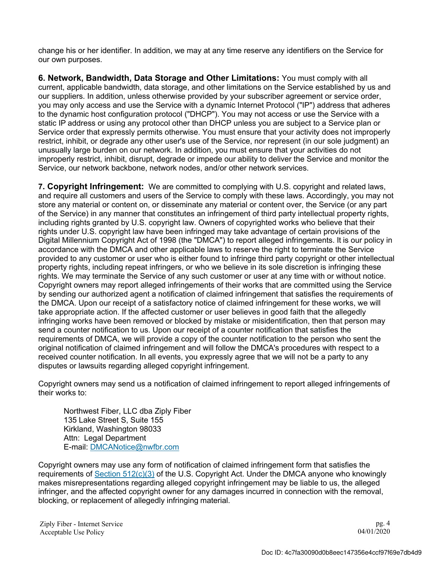change his or her identifier. In addition, we may at any time reserve any identifiers on the Service for our own purposes.

**6. Network, Bandwidth, Data Storage and Other Limitations:** You must comply with all current, applicable bandwidth, data storage, and other limitations on the Service established by us and our suppliers. In addition, unless otherwise provided by your subscriber agreement or service order, you may only access and use the Service with a dynamic Internet Protocol ("IP") address that adheres to the dynamic host configuration protocol ("DHCP"). You may not access or use the Service with a static IP address or using any protocol other than DHCP unless you are subject to a Service plan or Service order that expressly permits otherwise. You must ensure that your activity does not improperly restrict, inhibit, or degrade any other user's use of the Service, nor represent (in our sole judgment) an unusually large burden on our network. In addition, you must ensure that your activities do not improperly restrict, inhibit, disrupt, degrade or impede our ability to deliver the Service and monitor the Service, our network backbone, network nodes, and/or other network services.

**7. Copyright Infringement:** We are committed to complying with U.S. copyright and related laws, and require all customers and users of the Service to comply with these laws. Accordingly, you may not store any material or content on, or disseminate any material or content over, the Service (or any part of the Service) in any manner that constitutes an infringement of third party intellectual property rights, including rights granted by U.S. copyright law. Owners of copyrighted works who believe that their rights under U.S. copyright law have been infringed may take advantage of certain provisions of the Digital Millennium Copyright Act of 1998 (the "DMCA") to report alleged infringements. It is our policy in accordance with the DMCA and other applicable laws to reserve the right to terminate the Service provided to any customer or user who is either found to infringe third party copyright or other intellectual property rights, including repeat infringers, or who we believe in its sole discretion is infringing these rights. We may terminate the Service of any such customer or user at any time with or without notice. Copyright owners may report alleged infringements of their works that are committed using the Service by sending our authorized agent a notification of claimed infringement that satisfies the requirements of the DMCA. Upon our receipt of a satisfactory notice of claimed infringement for these works, we will take appropriate action. If the affected customer or user believes in good faith that the allegedly infringing works have been removed or blocked by mistake or misidentification, then that person may send a counter notification to us. Upon our receipt of a counter notification that satisfies the requirements of DMCA, we will provide a copy of the counter notification to the person who sent the original notification of claimed infringement and will follow the DMCA's procedures with respect to a received counter notification. In all events, you expressly agree that we will not be a party to any disputes or lawsuits regarding alleged copyright infringement.

Copyright owners may send us a notification of claimed infringement to report alleged infringements of their works to:

Northwest Fiber, LLC dba Ziply Fiber 135 Lake Street S, Suite 155 Kirkland, Washington 98033 Attn: Legal Department E-mail: DMCANotice@nwfbr.com

Copyright owners may use any form of notification of claimed infringement form that satisfies the requirements of Section 512(c)(3) of the U.S. Copyright Act. Under the DMCA anyone who knowingly makes misrepresentations regarding alleged copyright infringement may be liable to us, the alleged infringer, and the affected copyright owner for any damages incurred in connection with the removal, blocking, or replacement of allegedly infringing material.

pg. 4 04/01/2020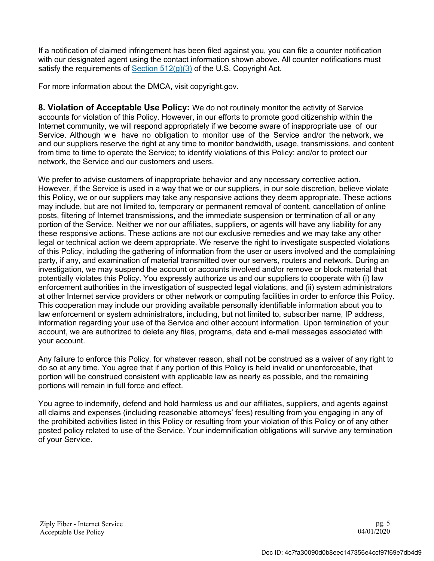If a notification of claimed infringement has been filed against you, you can file a counter notification with our designated agent using the contact information shown above. All counter notifications must satisfy the requirements of Section  $512(g)(3)$  of the U.S. Copyright Act.

For more information about the DMCA, visit copyright.gov.

**8. Violation of Acceptable Use Policy:** We do not routinely monitor the activity of Service accounts for violation of this Policy. However, in our efforts to promote good citizenship within the Internet community, we will respond appropriately if we become aware of inappropriate use of our Service. Although we have no obligation to monitor use of the Service and/or the network, we and our suppliers reserve the right at any time to monitor bandwidth, usage, transmissions, and content from time to time to operate the Service; to identify violations of this Policy; and/or to protect our network, the Service and our customers and users.

We prefer to advise customers of inappropriate behavior and any necessary corrective action. However, if the Service is used in a way that we or our suppliers, in our sole discretion, believe violate this Policy, we or our suppliers may take any responsive actions they deem appropriate. These actions may include, but are not limited to, temporary or permanent removal of content, cancellation of online posts, filtering of Internet transmissions, and the immediate suspension or termination of all or any portion of the Service. Neither we nor our affiliates, suppliers, or agents will have any liability for any these responsive actions. These actions are not our exclusive remedies and we may take any other legal or technical action we deem appropriate. We reserve the right to investigate suspected violations of this Policy, including the gathering of information from the user or users involved and the complaining party, if any, and examination of material transmitted over our servers, routers and network. During an investigation, we may suspend the account or accounts involved and/or remove or block material that potentially violates this Policy. You expressly authorize us and our suppliers to cooperate with (i) law enforcement authorities in the investigation of suspected legal violations, and (ii) system administrators at other Internet service providers or other network or computing facilities in order to enforce this Policy. This cooperation may include our providing available personally identifiable information about you to law enforcement or system administrators, including, but not limited to, subscriber name, IP address, information regarding your use of the Service and other account information. Upon termination of your account, we are authorized to delete any files, programs, data and e-mail messages associated with your account.

Any failure to enforce this Policy, for whatever reason, shall not be construed as a waiver of any right to do so at any time. You agree that if any portion of this Policy is held invalid or unenforceable, that portion will be construed consistent with applicable law as nearly as possible, and the remaining portions will remain in full force and effect.

You agree to indemnify, defend and hold harmless us and our affiliates, suppliers, and agents against all claims and expenses (including reasonable attorneys' fees) resulting from you engaging in any of the prohibited activities listed in this Policy or resulting from your violation of this Policy or of any other posted policy related to use of the Service. Your indemnification obligations will survive any termination of your Service.